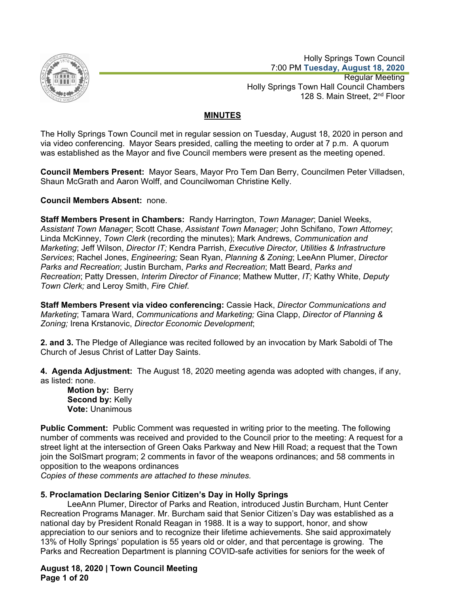

 Holly Springs Town Council 7:00 PM **Tuesday, August 18, 2020** Regular Meeting Holly Springs Town Hall Council Chambers 128 S. Main Street, 2<sup>nd</sup> Floor

# **MINUTES**

The Holly Springs Town Council met in regular session on Tuesday, August 18, 2020 in person and via video conferencing. Mayor Sears presided, calling the meeting to order at 7 p.m. A quorum was established as the Mayor and five Council members were present as the meeting opened.

**Council Members Present:** Mayor Sears, Mayor Pro Tem Dan Berry, Councilmen Peter Villadsen, Shaun McGrath and Aaron Wolff, and Councilwoman Christine Kelly.

**Council Members Absent:** none.

**Staff Members Present in Chambers:** Randy Harrington, *Town Manager*; Daniel Weeks, *Assistant Town Manager*; Scott Chase, *Assistant Town Manager;* John Schifano, *Town Attorney*; Linda McKinney, *Town Clerk* (recording the minutes); Mark Andrews, *Communication and Marketing*; Jeff Wilson, *Director IT;* Kendra Parrish, *Executive Director, Utilities & Infrastructure Services*; Rachel Jones, *Engineering;* Sean Ryan, *Planning & Zoning*; LeeAnn Plumer, *Director Parks and Recreation*; Justin Burcham, *Parks and Recreation*; Matt Beard, *Parks and Recreation*; Patty Dressen, *Interim Director of Finance*; Mathew Mutter, *IT;* Kathy White, *Deputy Town Clerk;* and Leroy Smith, *Fire Chief.* 

**Staff Members Present via video conferencing:** Cassie Hack, *Director Communications and Marketing*; Tamara Ward, *Communications and Marketing;* Gina Clapp, *Director of Planning & Zoning;* Irena Krstanovic, *Director Economic Development*;

**2. and 3.** The Pledge of Allegiance was recited followed by an invocation by Mark Saboldi of The Church of Jesus Christ of Latter Day Saints.

**4. Agenda Adjustment:** The August 18, 2020 meeting agenda was adopted with changes, if any, as listed: none.

**Motion by:** Berry **Second by:** Kelly **Vote:** Unanimous

**Public Comment:** Public Comment was requested in writing prior to the meeting. The following number of comments was received and provided to the Council prior to the meeting: A request for a street light at the intersection of Green Oaks Parkway and New Hill Road; a request that the Town join the SolSmart program; 2 comments in favor of the weapons ordinances; and 58 comments in opposition to the weapons ordinances

*Copies of these comments are attached to these minutes.*

# **5. Proclamation Declaring Senior Citizen's Day in Holly Springs**

LeeAnn Plumer, Director of Parks and Reation, introduced Justin Burcham, Hunt Center Recreation Programs Manager. Mr. Burcham said that Senior Citizen's Day was established as a national day by President Ronald Reagan in 1988. It is a way to support, honor, and show appreciation to our seniors and to recognize their lifetime achievements. She said approximately 13% of Holly Springs' population is 55 years old or older, and that percentage is growing. The Parks and Recreation Department is planning COVID-safe activities for seniors for the week of

**August 18, 2020 | Town Council Meeting Page 1 of 20**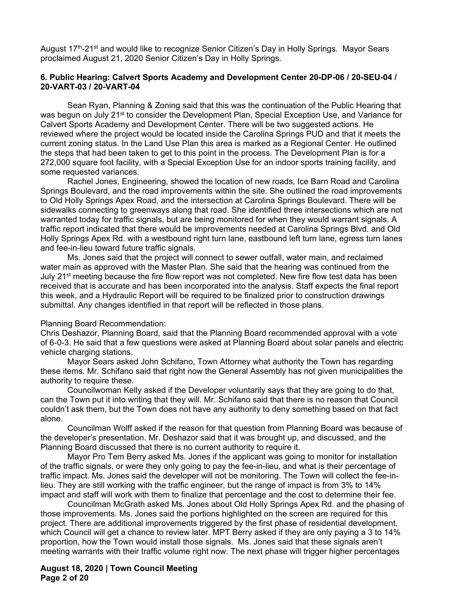August 17<sup>th</sup>-21<sup>st</sup> and would like to recognize Senior Citizen's Day in Holly Springs. Mayor Sears proclaimed August 21, 2020 Senior Citizen's Day in Holly Springs.

# **6. Public Hearing: Calvert Sports Academy and Development Center 20-DP-06 / 20-SEU-04 / 20-VART-03 / 20-VART-04**

Sean Ryan, Planning & Zoning said that this was the continuation of the Public Hearing that was begun on July 21<sup>st</sup> to consider the Development Plan, Special Exception Use, and Variance for Calvert Sports Academy and Development Center. There will be two suggested actions. He reviewed where the project would be located inside the Carolina Springs PUD and that it meets the current zoning status. In the Land Use Plan this area is marked as a Regional Center. He outlined the steps that had been taken to get to this point in the process. The Development Plan is for a 272,000 square foot facility, with a Special Exception Use for an indoor sports training facility, and some requested variances.

 Rachel Jones, Engineering, showed the location of new roads, Ice Barn Road and Carolina Springs Boulevard, and the road improvements within the site. She outlined the road improvements to Old Holly Springs Apex Road, and the intersection at Carolina Springs Boulevard. There will be sidewalks connecting to greenways along that road. She identified three intersections which are not warranted today for traffic signals, but are being monitored for when they would warrant signals. A traffic report indicated that there would be improvements needed at Carolina Springs Blvd. and Old Holly Springs Apex Rd. with a westbound right turn lane, eastbound left turn lane, egress turn lanes and fee-in-lieu toward future traffic signals.

 Ms. Jones said that the project will connect to sewer outfall, water main, and reclaimed water main as approved with the Master Plan. She said that the hearing was continued from the July 21<sup>st</sup> meeting because the fire flow report was not completed. New fire flow test data has been received that is accurate and has been incorporated into the analysis. Staff expects the final report this week, and a Hydraulic Report will be required to be finalized prior to construction drawings submittal. Any changes identified in that report will be reflected in those plans.

#### Planning Board Recommendation:

Chris Deshazor, Planning Board, said that the Planning Board recommended approval with a vote of 6-0-3. He said that a few questions were asked at Planning Board about solar panels and electric vehicle charging stations.

Mayor Sears asked John Schifano, Town Attorney what authority the Town has regarding these items. Mr. Schifano said that right now the General Assembly has not given municipalities the authority to require these.

Councilwoman Kelly asked if the Developer voluntarily says that they are going to do that, can the Town put it into writing that they will. Mr. Schifano said that there is no reason that Council couldn't ask them, but the Town does not have any authority to deny something based on that fact alone.

Councilman Wolff asked if the reason for that question from Planning Board was because of the developer's presentation. Mr. Deshazor said that it was brought up, and discussed, and the Planning Board discussed that there is no current authority to require it.

Mayor Pro Tem Berry asked Ms. Jones if the applicant was going to monitor for installation of the traffic signals, or were they only going to pay the fee-in-lieu, and what is their percentage of traffic impact. Ms. Jones said the developer will not be monitoring. The Town will collect the fee-inlieu. They are still working with the traffic engineer, but the range of impact is from 3% to 14% impact and staff will work with them to finalize that percentage and the cost to determine their fee.

Councilman McGrath asked Ms. Jones about Old Holly Springs Apex Rd. and the phasing of those improvements. Ms. Jones said the portions highlighted on the screen are required for this project. There are additional improvements triggered by the first phase of residential development, which Council will get a chance to review later. MPT Berry asked if they are only paying a 3 to 14% proportion, how the Town would install those signals. Ms. Jones said that these signals aren't meeting warrants with their traffic volume right now. The next phase will trigger higher percentages

**August 18, 2020 | Town Council Meeting Page 2 of 20**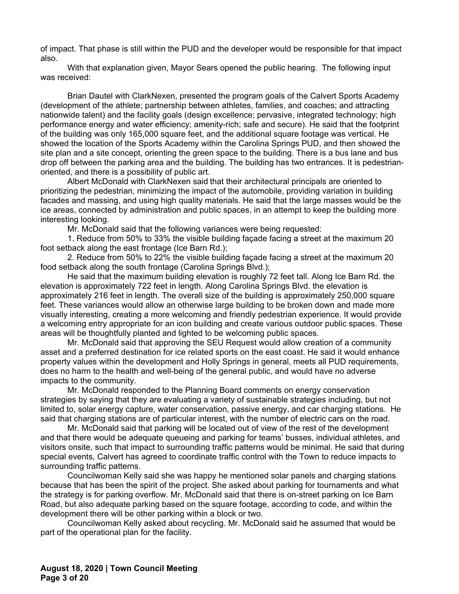of impact. That phase is still within the PUD and the developer would be responsible for that impact also.

With that explanation given, Mayor Sears opened the public hearing. The following input was received:

 Brian Dautel with ClarkNexen, presented the program goals of the Calvert Sports Academy (development of the athlete; partnership between athletes, families, and coaches; and attracting nationwide talent) and the facility goals (design excellence; pervasive, integrated technology; high performance energy and water efficiency; amenity-rich; safe and secure). He said that the footprint of the building was only 165,000 square feet, and the additional square footage was vertical. He showed the location of the Sports Academy within the Carolina Springs PUD, and then showed the site plan and a site concept, orienting the green space to the building. There is a bus lane and bus drop off between the parking area and the building. The building has two entrances. It is pedestrianoriented, and there is a possibility of public art.

 Albert McDonald with ClarkNexen said that their architectural principals are oriented to prioritizing the pedestrian, minimizing the impact of the automobile, providing variation in building facades and massing, and using high quality materials. He said that the large masses would be the ice areas, connected by administration and public spaces, in an attempt to keep the building more interesting looking.

Mr. McDonald said that the following variances were being requested:

 1. Reduce from 50% to 33% the visible building façade facing a street at the maximum 20 foot setback along the east frontage (Ice Barn Rd.);

 2. Reduce from 50% to 22% the visible building façade facing a street at the maximum 20 food setback along the south frontage (Carolina Springs Blvd.);

 He said that the maximum building elevation is roughly 72 feet tall. Along Ice Barn Rd. the elevation is approximately 722 feet in length. Along Carolina Springs Blvd. the elevation is approximately 216 feet in length. The overall size of the building is approximately 250,000 square feet. These variances would allow an otherwise large building to be broken down and made more visually interesting, creating a more welcoming and friendly pedestrian experience. It would provide a welcoming entry appropriate for an icon building and create various outdoor public spaces. These areas will be thoughtfully planted and lighted to be welcoming public spaces.

 Mr. McDonald said that approving the SEU Request would allow creation of a community asset and a preferred destination for ice related sports on the east coast. He said it would enhance property values within the development and Holly Springs in general, meets all PUD requirements, does no harm to the health and well-being of the general public, and would have no adverse impacts to the community.

 Mr. McDonald responded to the Planning Board comments on energy conservation strategies by saying that they are evaluating a variety of sustainable strategies including, but not limited to, solar energy capture, water conservation, passive energy, and car charging stations. He said that charging stations are of particular interest, with the number of electric cars on the road.

 Mr. McDonald said that parking will be located out of view of the rest of the development and that there would be adequate queueing and parking for teams' busses, individual athletes, and visitors onsite, such that impact to surrounding traffic patterns would be minimal. He said that during special events, Calvert has agreed to coordinate traffic control with the Town to reduce impacts to surrounding traffic patterns.

 Councilwoman Kelly said she was happy he mentioned solar panels and charging stations because that has been the spirit of the project. She asked about parking for tournaments and what the strategy is for parking overflow. Mr. McDonald said that there is on-street parking on Ice Barn Road, but also adequate parking based on the square footage, according to code, and within the development there will be other parking within a block or two.

Councilwoman Kelly asked about recycling. Mr. McDonald said he assumed that would be part of the operational plan for the facility.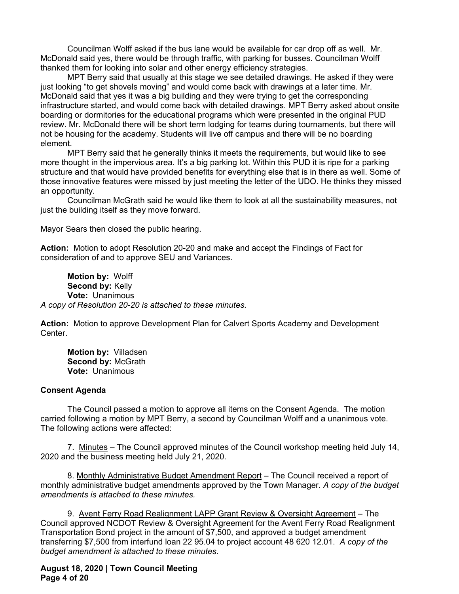Councilman Wolff asked if the bus lane would be available for car drop off as well. Mr. McDonald said yes, there would be through traffic, with parking for busses. Councilman Wolff thanked them for looking into solar and other energy efficiency strategies.

MPT Berry said that usually at this stage we see detailed drawings. He asked if they were just looking "to get shovels moving" and would come back with drawings at a later time. Mr. McDonald said that yes it was a big building and they were trying to get the corresponding infrastructure started, and would come back with detailed drawings. MPT Berry asked about onsite boarding or dormitories for the educational programs which were presented in the original PUD review. Mr. McDonald there will be short term lodging for teams during tournaments, but there will not be housing for the academy. Students will live off campus and there will be no boarding element.

MPT Berry said that he generally thinks it meets the requirements, but would like to see more thought in the impervious area. It's a big parking lot. Within this PUD it is ripe for a parking structure and that would have provided benefits for everything else that is in there as well. Some of those innovative features were missed by just meeting the letter of the UDO. He thinks they missed an opportunity.

Councilman McGrath said he would like them to look at all the sustainability measures, not just the building itself as they move forward.

Mayor Sears then closed the public hearing.

**Action:** Motion to adopt Resolution 20-20 and make and accept the Findings of Fact for consideration of and to approve SEU and Variances.

**Motion by:** Wolff Second by: Kelly **Vote:** Unanimous *A copy of Resolution 20-20 is attached to these minutes.* 

**Action:** Motion to approve Development Plan for Calvert Sports Academy and Development Center.

**Motion by:** Villadsen **Second by:** McGrath **Vote:** Unanimous

# **Consent Agenda**

The Council passed a motion to approve all items on the Consent Agenda. The motion carried following a motion by MPT Berry, a second by Councilman Wolff and a unanimous vote. The following actions were affected:

7. Minutes – The Council approved minutes of the Council workshop meeting held July 14, 2020 and the business meeting held July 21, 2020.

8. Monthly Administrative Budget Amendment Report – The Council received a report of monthly administrative budget amendments approved by the Town Manager. *A copy of the budget amendments is attached to these minutes.* 

9. Avent Ferry Road Realignment LAPP Grant Review & Oversight Agreement - The Council approved NCDOT Review & Oversight Agreement for the Avent Ferry Road Realignment Transportation Bond project in the amount of \$7,500, and approved a budget amendment transferring \$7,500 from interfund loan 22 95.04 to project account 48 620 12.01. *A copy of the budget amendment is attached to these minutes.* 

**August 18, 2020 | Town Council Meeting Page 4 of 20**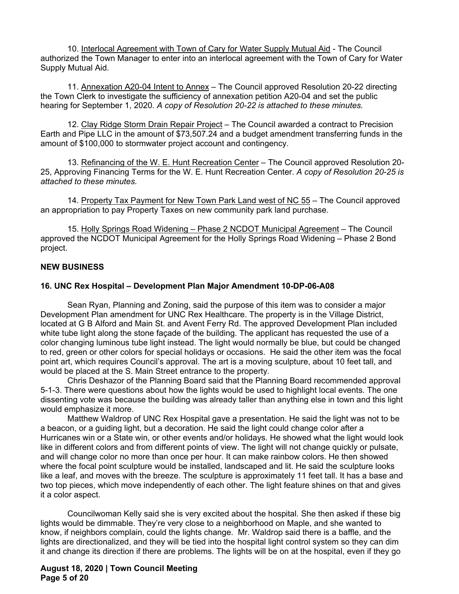10. Interlocal Agreement with Town of Cary for Water Supply Mutual Aid - The Council authorized the Town Manager to enter into an interlocal agreement with the Town of Cary for Water Supply Mutual Aid.

 11. Annexation A20-04 Intent to Annex – The Council approved Resolution 20-22 directing the Town Clerk to investigate the sufficiency of annexation petition A20-04 and set the public hearing for September 1, 2020. *A copy of Resolution 20-22 is attached to these minutes.*

 12. Clay Ridge Storm Drain Repair Project – The Council awarded a contract to Precision Earth and Pipe LLC in the amount of \$73,507.24 and a budget amendment transferring funds in the amount of \$100,000 to stormwater project account and contingency.

13. Refinancing of the W. E. Hunt Recreation Center - The Council approved Resolution 20-25, Approving Financing Terms for the W. E. Hunt Recreation Center. *A copy of Resolution 20-25 is attached to these minutes.* 

14. Property Tax Payment for New Town Park Land west of NC 55 – The Council approved an appropriation to pay Property Taxes on new community park land purchase.

 15. Holly Springs Road Widening – Phase 2 NCDOT Municipal Agreement – The Council approved the NCDOT Municipal Agreement for the Holly Springs Road Widening – Phase 2 Bond project.

# **NEW BUSINESS**

# **16. UNC Rex Hospital – Development Plan Major Amendment 10-DP-06-A08**

Sean Ryan, Planning and Zoning, said the purpose of this item was to consider a major Development Plan amendment for UNC Rex Healthcare. The property is in the Village District, located at G B Alford and Main St. and Avent Ferry Rd. The approved Development Plan included white tube light along the stone façade of the building. The applicant has requested the use of a color changing luminous tube light instead. The light would normally be blue, but could be changed to red, green or other colors for special holidays or occasions. He said the other item was the focal point art, which requires Council's approval. The art is a moving sculpture, about 10 feet tall, and would be placed at the S. Main Street entrance to the property.

 Chris Deshazor of the Planning Board said that the Planning Board recommended approval 5-1-3. There were questions about how the lights would be used to highlight local events. The one dissenting vote was because the building was already taller than anything else in town and this light would emphasize it more.

 Matthew Waldrop of UNC Rex Hospital gave a presentation. He said the light was not to be a beacon, or a guiding light, but a decoration. He said the light could change color after a Hurricanes win or a State win, or other events and/or holidays. He showed what the light would look like in different colors and from different points of view. The light will not change quickly or pulsate, and will change color no more than once per hour. It can make rainbow colors. He then showed where the focal point sculpture would be installed, landscaped and lit. He said the sculpture looks like a leaf, and moves with the breeze. The sculpture is approximately 11 feet tall. It has a base and two top pieces, which move independently of each other. The light feature shines on that and gives it a color aspect.

 Councilwoman Kelly said she is very excited about the hospital. She then asked if these big lights would be dimmable. They're very close to a neighborhood on Maple, and she wanted to know, if neighbors complain, could the lights change. Mr. Waldrop said there is a baffle, and the lights are directionalized, and they will be tied into the hospital light control system so they can dim it and change its direction if there are problems. The lights will be on at the hospital, even if they go

**August 18, 2020 | Town Council Meeting Page 5 of 20**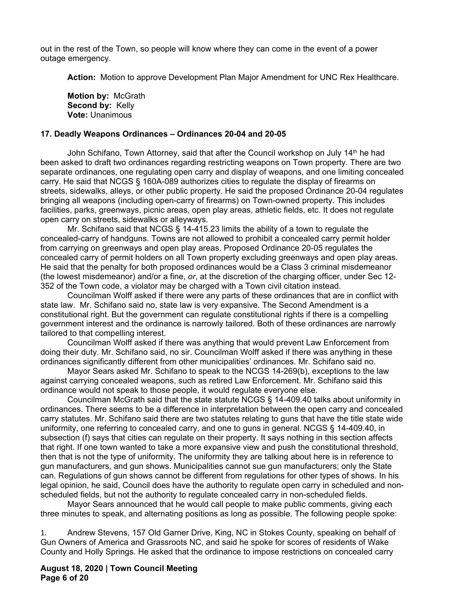out in the rest of the Town, so people will know where they can come in the event of a power outage emergency.

 **Action:** Motion to approve Development Plan Major Amendment for UNC Rex Healthcare.

**Motion by:** McGrath Second by: Kelly **Vote:** Unanimous

# **17. Deadly Weapons Ordinances – Ordinances 20-04 and 20-05**

John Schifano, Town Attorney, said that after the Council workshop on July 14<sup>th</sup> he had been asked to draft two ordinances regarding restricting weapons on Town property. There are two separate ordinances, one regulating open carry and display of weapons, and one limiting concealed carry. He said that NCGS § 160A-089 authorizes cities to regulate the display of firearms on streets, sidewalks, alleys, or other public property. He said the proposed Ordinance 20-04 regulates bringing all weapons (including open-carry of firearms) on Town-owned property. This includes facilities, parks, greenways, picnic areas, open play areas, athletic fields, etc. It does not regulate open carry on streets, sidewalks or alleyways.

 Mr. Schifano said that NCGS § 14-415.23 limits the ability of a town to regulate the concealed-carry of handguns. Towns are not allowed to prohibit a concealed carry permit holder from carrying on greenways and open play areas. Proposed Ordinance 20-05 regulates the concealed carry of permit holders on all Town property excluding greenways and open play areas. He said that the penalty for both proposed ordinances would be a Class 3 criminal misdemeanor (the lowest misdemeanor) and/or a fine, *or*, at the discretion of the charging officer, under Sec 12- 352 of the Town code, a violator may be charged with a Town civil citation instead.

 Councilman Wolff asked if there were any parts of these ordinances that are in conflict with state law. Mr. Schifano said no, state law is very expansive. The Second Amendment is a constitutional right. But the government can regulate constitutional rights if there is a compelling government interest and the ordinance is narrowly tailored. Both of these ordinances are narrowly tailored to that compelling interest.

 Councilman Wolff asked if there was anything that would prevent Law Enforcement from doing their duty. Mr. Schifano said, no sir. Councilman Wolff asked if there was anything in these ordinances significantly different from other municipalities' ordinances. Mr. Schifano said no.

 Mayor Sears asked Mr. Schifano to speak to the NCGS 14-269(b), exceptions to the law against carrying concealed weapons, such as retired Law Enforcement. Mr. Schifano said this ordinance would not speak to those people, it would regulate everyone else.

 Councilman McGrath said that the state statute NCGS § 14-409.40 talks about uniformity in ordinances. There seems to be a difference in interpretation between the open carry and concealed carry statutes. Mr. Schifano said there are two statutes relating to guns that have the title state wide uniformity, one referring to concealed carry, and one to guns in general. NCGS § 14-409.40, in subsection (f) says that cities can regulate on their property. It says nothing in this section affects that right. If one town wanted to take a more expansive view and push the constitutional threshold, then that is not the type of uniformity. The uniformity they are talking about here is in reference to gun manufacturers, and gun shows. Municipalities cannot sue gun manufacturers; only the State can. Regulations of gun shows cannot be different from regulations for other types of shows. In his legal opinion, he said, Council does have the authority to regulate open carry in scheduled and nonscheduled fields, but not the authority to regulate concealed carry in non-scheduled fields.

 Mayor Sears announced that he would call people to make public comments, giving each three minutes to speak, and alternating positions as long as possible. The following people spoke:

1. Andrew Stevens, 157 Old Garner Drive, King, NC in Stokes County, speaking on behalf of Gun Owners of America and Grassroots NC, and said he spoke for scores of residents of Wake County and Holly Springs. He asked that the ordinance to impose restrictions on concealed carry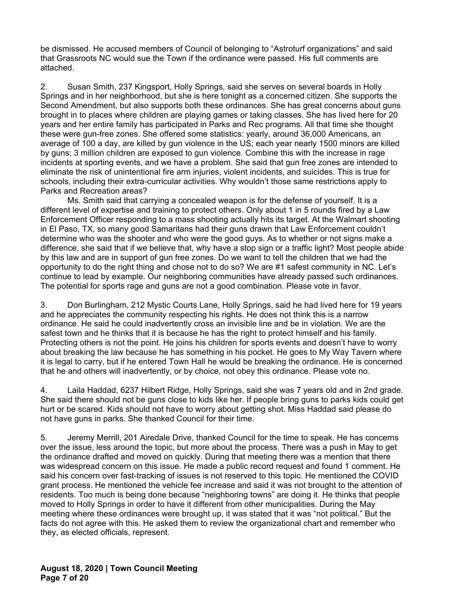be dismissed. He accused members of Council of belonging to "Astroturf organizations" and said that Grassroots NC would sue the Town if the ordinance were passed. His full comments are attached.

2. Susan Smith, 237 Kingsport, Holly Springs, said she serves on several boards in Holly Springs and in her neighborhood, but she is here tonight as a concerned citizen. She supports the Second Amendment, but also supports both these ordinances. She has great concerns about guns brought in to places where children are playing games or taking classes. She has lived here for 20 years and her entire family has participated in Parks and Rec programs. All that time she thought these were gun-free zones. She offered some statistics: yearly, around 36,000 Americans, an average of 100 a day, are killed by gun violence in the US; each year nearly 1500 minors are killed by guns; 3 million children are exposed to gun violence. Combine this with the increase in rage incidents at sporting events, and we have a problem. She said that gun free zones are intended to eliminate the risk of unintentional fire arm injuries, violent incidents, and suicides. This is true for schools, including their extra-curricular activities. Why wouldn't those same restrictions apply to Parks and Recreation areas?

 Ms. Smith said that carrying a concealed weapon is for the defense of yourself. It is a different level of expertise and training to protect others. Only about 1 in 5 rounds fired by a Law Enforcement Officer responding to a mass shooting actually hits its target. At the Walmart shooting in El Paso, TX, so many good Samaritans had their guns drawn that Law Enforcement couldn't determine who was the shooter and who were the good guys. As to whether or not signs make a difference, she said that if we believe that, why have a stop sign or a traffic light? Most people abide by this law and are in support of gun free zones. Do we want to tell the children that we had the opportunity to do the right thing and chose not to do so? We are #1 safest community in NC. Let's continue to lead by example. Our neighboring communities have already passed such ordinances. The potential for sports rage and guns are not a good combination. Please vote in favor.

3. Don Burlingham, 212 Mystic Courts Lane, Holly Springs, said he had lived here for 19 years and he appreciates the community respecting his rights. He does not think this is a narrow ordinance. He said he could inadvertently cross an invisible line and be in violation. We are the safest town and he thinks that it is because he has the right to protect himself and his family. Protecting others is not the point. He joins his children for sports events and doesn't have to worry about breaking the law because he has something in his pocket. He goes to My Way Tavern where it is legal to carry, but if he entered Town Hall he would be breaking the ordinance. He is concerned that he and others will inadvertently, or by choice, not obey this ordinance. Please vote no.

4. Laila Haddad, 6237 Hilbert Ridge, Holly Springs, said she was 7 years old and in 2nd grade. She said there should not be guns close to kids like her. If people bring guns to parks kids could get hurt or be scared. Kids should not have to worry about getting shot. Miss Haddad said please do not have guns in parks. She thanked Council for their time.

5. Jeremy Merrill, 201 Airedale Drive, thanked Council for the time to speak. He has concerns over the issue, less around the topic, but more about the process. There was a push in May to get the ordinance drafted and moved on quickly. During that meeting there was a mention that there was widespread concern on this issue. He made a public record request and found 1 comment. He said his concern over fast-tracking of issues is not reserved to this topic. He mentioned the COVID grant process. He mentioned the vehicle fee increase and said it was not brought to the attention of residents. Too much is being done because "neighboring towns" are doing it. He thinks that people moved to Holly Springs in order to have it different from other municipalities. During the May meeting where these ordinances were brought up, it was stated that it was "not political." But the facts do not agree with this. He asked them to review the organizational chart and remember who they, as elected officials, represent.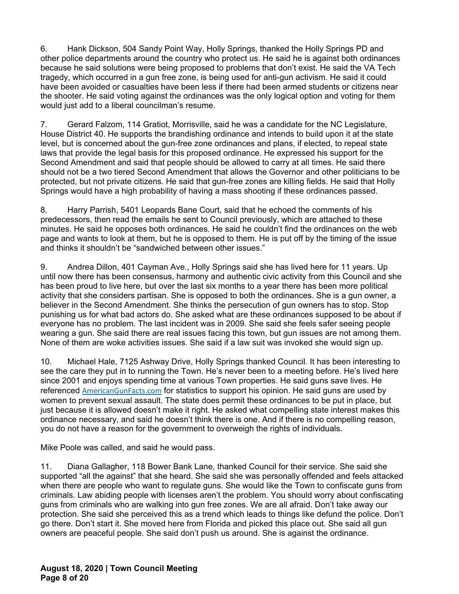6. Hank Dickson, 504 Sandy Point Way, Holly Springs, thanked the Holly Springs PD and other police departments around the country who protect us. He said he is against both ordinances because he said solutions were being proposed to problems that don't exist. He said the VA Tech tragedy, which occurred in a gun free zone, is being used for anti-gun activism. He said it could have been avoided or casualties have been less if there had been armed students or citizens near the shooter. He said voting against the ordinances was the only logical option and voting for them would just add to a liberal councilman's resume.

7. Gerard Falzom, 114 Gratiot, Morrisville, said he was a candidate for the NC Legislature, House District 40. He supports the brandishing ordinance and intends to build upon it at the state level, but is concerned about the gun-free zone ordinances and plans, if elected, to repeal state laws that provide the legal basis for this proposed ordinance. He expressed his support for the Second Amendment and said that people should be allowed to carry at all times. He said there should not be a two tiered Second Amendment that allows the Governor and other politicians to be protected, but not private citizens. He said that gun-free zones are killing fields. He said that Holly Springs would have a high probability of having a mass shooting if these ordinances passed.

8. Harry Parrish, 5401 Leopards Bane Court, said that he echoed the comments of his predecessors, then read the emails he sent to Council previously, which are attached to these minutes. He said he opposes both ordinances. He said he couldn't find the ordinances on the web page and wants to look at them, but he is opposed to them. He is put off by the timing of the issue and thinks it shouldn't be "sandwiched between other issues."

9. Andrea Dillon, 401 Cayman Ave., Holly Springs said she has lived here for 11 years. Up until now there has been consensus, harmony and authentic civic activity from this Council and she has been proud to live here, but over the last six months to a year there has been more political activity that she considers partisan. She is opposed to both the ordinances. She is a gun owner, a believer in the Second Amendment. She thinks the persecution of gun owners has to stop. Stop punishing us for what bad actors do. She asked what are these ordinances supposed to be about if everyone has no problem. The last incident was in 2009. She said she feels safer seeing people wearing a gun. She said there are real issues facing this town, but gun issues are not among them. None of them are woke activities issues. She said if a law suit was invoked she would sign up.

10. Michael Hale, 7125 Ashway Drive, Holly Springs thanked Council. It has been interesting to see the care they put in to running the Town. He's never been to a meeting before. He's lived here since 2001 and enjoys spending time at various Town properties. He said guns save lives. He referenced AmericanGunFacts.com for statistics to support his opinion. He said guns are used by women to prevent sexual assault. The state does permit these ordinances to be put in place, but just because it is allowed doesn't make it right. He asked what compelling state interest makes this ordinance necessary, and said he doesn't think there is one. And if there is no compelling reason, you do not have a reason for the government to overweigh the rights of individuals.

Mike Poole was called, and said he would pass.

11. Diana Gallagher, 118 Bower Bank Lane, thanked Council for their service. She said she supported "all the against" that she heard. She said she was personally offended and feels attacked when there are people who want to regulate guns. She would like the Town to confiscate guns from criminals. Law abiding people with licenses aren't the problem. You should worry about confiscating guns from criminals who are walking into gun free zones. We are all afraid. Don't take away our protection. She said she perceived this as a trend which leads to things like defund the police. Don't go there. Don't start it. She moved here from Florida and picked this place out. She said all gun owners are peaceful people. She said don't push us around. She is against the ordinance.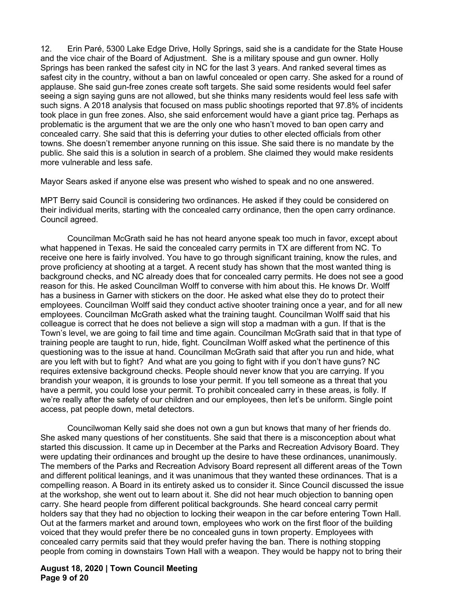12. Erin Paré, 5300 Lake Edge Drive, Holly Springs, said she is a candidate for the State House and the vice chair of the Board of Adjustment. She is a military spouse and gun owner. Holly Springs has been ranked the safest city in NC for the last 3 years. And ranked several times as safest city in the country, without a ban on lawful concealed or open carry. She asked for a round of applause. She said gun-free zones create soft targets. She said some residents would feel safer seeing a sign saying guns are not allowed, but she thinks many residents would feel less safe with such signs. A 2018 analysis that focused on mass public shootings reported that 97.8% of incidents took place in gun free zones. Also, she said enforcement would have a giant price tag. Perhaps as problematic is the argument that we are the only one who hasn't moved to ban open carry and concealed carry. She said that this is deferring your duties to other elected officials from other towns. She doesn't remember anyone running on this issue. She said there is no mandate by the public. She said this is a solution in search of a problem. She claimed they would make residents more vulnerable and less safe.

Mayor Sears asked if anyone else was present who wished to speak and no one answered.

MPT Berry said Council is considering two ordinances. He asked if they could be considered on their individual merits, starting with the concealed carry ordinance, then the open carry ordinance. Council agreed.

 Councilman McGrath said he has not heard anyone speak too much in favor, except about what happened in Texas. He said the concealed carry permits in TX are different from NC. To receive one here is fairly involved. You have to go through significant training, know the rules, and prove proficiency at shooting at a target. A recent study has shown that the most wanted thing is background checks, and NC already does that for concealed carry permits. He does not see a good reason for this. He asked Councilman Wolff to converse with him about this. He knows Dr. Wolff has a business in Garner with stickers on the door. He asked what else they do to protect their employees. Councilman Wolff said they conduct active shooter training once a year, and for all new employees. Councilman McGrath asked what the training taught. Councilman Wolff said that his colleague is correct that he does not believe a sign will stop a madman with a gun. If that is the Town's level, we are going to fail time and time again. Councilman McGrath said that in that type of training people are taught to run, hide, fight. Councilman Wolff asked what the pertinence of this questioning was to the issue at hand. Councilman McGrath said that after you run and hide, what are you left with but to fight? And what are you going to fight with if you don't have guns? NC requires extensive background checks. People should never know that you are carrying. If you brandish your weapon, it is grounds to lose your permit. If you tell someone as a threat that you have a permit, you could lose your permit. To prohibit concealed carry in these areas, is folly. If we're really after the safety of our children and our employees, then let's be uniform. Single point access, pat people down, metal detectors.

 Councilwoman Kelly said she does not own a gun but knows that many of her friends do. She asked many questions of her constituents. She said that there is a misconception about what started this discussion. It came up in December at the Parks and Recreation Advisory Board. They were updating their ordinances and brought up the desire to have these ordinances, unanimously. The members of the Parks and Recreation Advisory Board represent all different areas of the Town and different political leanings, and it was unanimous that they wanted these ordinances. That is a compelling reason. A Board in its entirety asked us to consider it. Since Council discussed the issue at the workshop, she went out to learn about it. She did not hear much objection to banning open carry. She heard people from different political backgrounds. She heard conceal carry permit holders say that they had no objection to locking their weapon in the car before entering Town Hall. Out at the farmers market and around town, employees who work on the first floor of the building voiced that they would prefer there be no concealed guns in town property. Employees with concealed carry permits said that they would prefer having the ban. There is nothing stopping people from coming in downstairs Town Hall with a weapon. They would be happy not to bring their

# **August 18, 2020 | Town Council Meeting Page 9 of 20**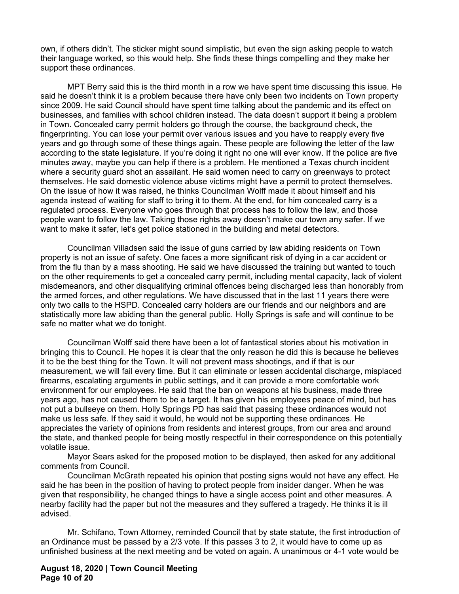own, if others didn't. The sticker might sound simplistic, but even the sign asking people to watch their language worked, so this would help. She finds these things compelling and they make her support these ordinances.

 MPT Berry said this is the third month in a row we have spent time discussing this issue. He said he doesn't think it is a problem because there have only been two incidents on Town property since 2009. He said Council should have spent time talking about the pandemic and its effect on businesses, and families with school children instead. The data doesn't support it being a problem in Town. Concealed carry permit holders go through the course, the background check, the fingerprinting. You can lose your permit over various issues and you have to reapply every five years and go through some of these things again. These people are following the letter of the law according to the state legislature. If you're doing it right no one will ever know. If the police are five minutes away, maybe you can help if there is a problem. He mentioned a Texas church incident where a security guard shot an assailant. He said women need to carry on greenways to protect themselves. He said domestic violence abuse victims might have a permit to protect themselves. On the issue of how it was raised, he thinks Councilman Wolff made it about himself and his agenda instead of waiting for staff to bring it to them. At the end, for him concealed carry is a regulated process. Everyone who goes through that process has to follow the law, and those people want to follow the law. Taking those rights away doesn't make our town any safer. If we want to make it safer, let's get police stationed in the building and metal detectors.

 Councilman Villadsen said the issue of guns carried by law abiding residents on Town property is not an issue of safety. One faces a more significant risk of dying in a car accident or from the flu than by a mass shooting. He said we have discussed the training but wanted to touch on the other requirements to get a concealed carry permit, including mental capacity, lack of violent misdemeanors, and other disqualifying criminal offences being discharged less than honorably from the armed forces, and other regulations. We have discussed that in the last 11 years there were only two calls to the HSPD. Concealed carry holders are our friends and our neighbors and are statistically more law abiding than the general public. Holly Springs is safe and will continue to be safe no matter what we do tonight.

 Councilman Wolff said there have been a lot of fantastical stories about his motivation in bringing this to Council. He hopes it is clear that the only reason he did this is because he believes it to be the best thing for the Town. It will not prevent mass shootings, and if that is our measurement, we will fail every time. But it can eliminate or lessen accidental discharge, misplaced firearms, escalating arguments in public settings, and it can provide a more comfortable work environment for our employees. He said that the ban on weapons at his business, made three years ago, has not caused them to be a target. It has given his employees peace of mind, but has not put a bullseye on them. Holly Springs PD has said that passing these ordinances would not make us less safe. If they said it would, he would not be supporting these ordinances. He appreciates the variety of opinions from residents and interest groups, from our area and around the state, and thanked people for being mostly respectful in their correspondence on this potentially volatile issue.

 Mayor Sears asked for the proposed motion to be displayed, then asked for any additional comments from Council.

 Councilman McGrath repeated his opinion that posting signs would not have any effect. He said he has been in the position of having to protect people from insider danger. When he was given that responsibility, he changed things to have a single access point and other measures. A nearby facility had the paper but not the measures and they suffered a tragedy. He thinks it is ill advised.

 Mr. Schifano, Town Attorney, reminded Council that by state statute, the first introduction of an Ordinance must be passed by a 2/3 vote. If this passes 3 to 2, it would have to come up as unfinished business at the next meeting and be voted on again. A unanimous or 4-1 vote would be

# **August 18, 2020 | Town Council Meeting Page 10 of 20**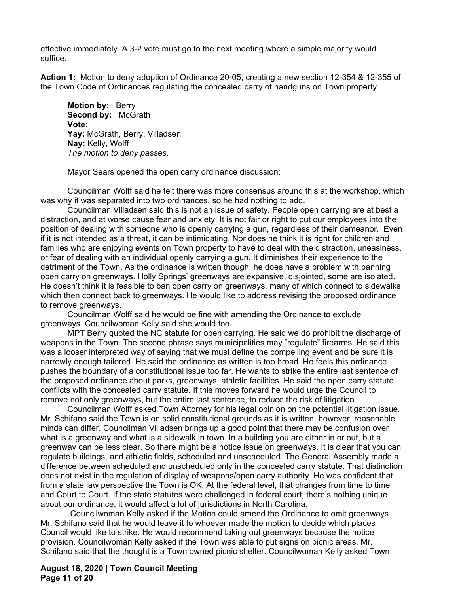effective immediately. A 3-2 vote must go to the next meeting where a simple majority would suffice.

**Action 1:** Motion to deny adoption of Ordinance 20-05, creating a new section 12-354 & 12-355 of the Town Code of Ordinances regulating the concealed carry of handguns on Town property.

**Motion by:** Berry **Second by:** McGrath **Vote: Yay:** McGrath, Berry, Villadsen **Nay:** Kelly, Wolff *The motion to deny passes.* 

Mayor Sears opened the open carry ordinance discussion:

Councilman Wolff said he felt there was more consensus around this at the workshop, which was why it was separated into two ordinances, so he had nothing to add.

Councilman Villadsen said this is not an issue of safety. People open carrying are at best a distraction, and at worse cause fear and anxiety. It is not fair or right to put our employees into the position of dealing with someone who is openly carrying a gun, regardless of their demeanor. Even if it is not intended as a threat, it can be intimidating. Nor does he think it is right for children and families who are enjoying events on Town property to have to deal with the distraction, uneasiness, or fear of dealing with an individual openly carrying a gun. It diminishes their experience to the detriment of the Town. As the ordinance is written though, he does have a problem with banning open carry on greenways. Holly Springs' greenways are expansive, disjointed, some are isolated. He doesn't think it is feasible to ban open carry on greenways, many of which connect to sidewalks which then connect back to greenways. He would like to address revising the proposed ordinance to remove greenways.

Councilman Wolff said he would be fine with amending the Ordinance to exclude greenways. Councilwoman Kelly said she would too.

MPT Berry quoted the NC statute for open carrying. He said we do prohibit the discharge of weapons in the Town. The second phrase says municipalities may "regulate" firearms. He said this was a looser interpreted way of saying that we must define the compelling event and be sure it is narrowly enough tailored. He said the ordinance as written is too broad. He feels this ordinance pushes the boundary of a constitutional issue too far. He wants to strike the entire last sentence of the proposed ordinance about parks, greenways, athletic facilities. He said the open carry statute conflicts with the concealed carry statute. If this moves forward he would urge the Council to remove not only greenways, but the entire last sentence, to reduce the risk of litigation.

Councilman Wolff asked Town Attorney for his legal opinion on the potential litigation issue. Mr. Schifano said the Town is on solid constitutional grounds as it is written; however, reasonable minds can differ. Councilman Villadsen brings up a good point that there may be confusion over what is a greenway and what is a sidewalk in town. In a building you are either in or out, but a greenway can be less clear. So there might be a notice issue on greenways. It is clear that you can regulate buildings, and athletic fields, scheduled and unscheduled. The General Assembly made a difference between scheduled and unscheduled only in the concealed carry statute. That distinction does not exist in the regulation of display of weapons/open carry authority. He was confident that from a state law perspective the Town is OK. At the federal level, that changes from time to time and Court to Court. If the state statutes were challenged in federal court, there's nothing unique about our ordinance, it would affect a lot of jurisdictions in North Carolina.

 Councilwoman Kelly asked if the Motion could amend the Ordinance to omit greenways. Mr. Schifano said that he would leave it to whoever made the motion to decide which places Council would like to strike. He would recommend taking out greenways because the notice provision. Councilwoman Kelly asked if the Town was able to put signs on picnic areas. Mr. Schifano said that the thought is a Town owned picnic shelter. Councilwoman Kelly asked Town

# **August 18, 2020 | Town Council Meeting Page 11 of 20**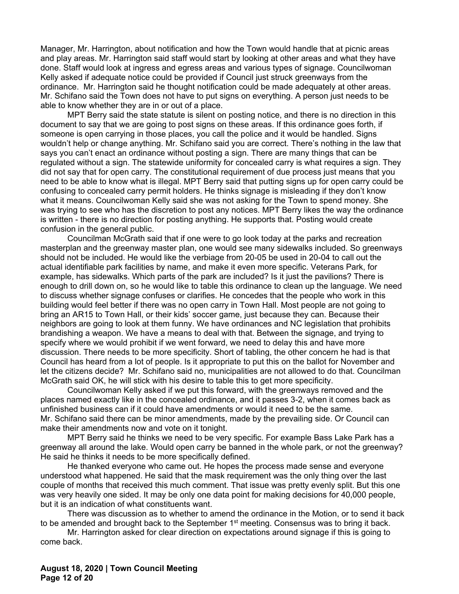Manager, Mr. Harrington, about notification and how the Town would handle that at picnic areas and play areas. Mr. Harrington said staff would start by looking at other areas and what they have done. Staff would look at ingress and egress areas and various types of signage. Councilwoman Kelly asked if adequate notice could be provided if Council just struck greenways from the ordinance. Mr. Harrington said he thought notification could be made adequately at other areas. Mr. Schifano said the Town does not have to put signs on everything. A person just needs to be able to know whether they are in or out of a place.

MPT Berry said the state statute is silent on posting notice, and there is no direction in this document to say that we are going to post signs on these areas. If this ordinance goes forth, if someone is open carrying in those places, you call the police and it would be handled. Signs wouldn't help or change anything. Mr. Schifano said you are correct. There's nothing in the law that says you can't enact an ordinance without posting a sign. There are many things that can be regulated without a sign. The statewide uniformity for concealed carry is what requires a sign. They did not say that for open carry. The constitutional requirement of due process just means that you need to be able to know what is illegal. MPT Berry said that putting signs up for open carry could be confusing to concealed carry permit holders. He thinks signage is misleading if they don't know what it means. Councilwoman Kelly said she was not asking for the Town to spend money. She was trying to see who has the discretion to post any notices. MPT Berry likes the way the ordinance is written - there is no direction for posting anything. He supports that. Posting would create confusion in the general public.

Councilman McGrath said that if one were to go look today at the parks and recreation masterplan and the greenway master plan, one would see many sidewalks included. So greenways should not be included. He would like the verbiage from 20-05 be used in 20-04 to call out the actual identifiable park facilities by name, and make it even more specific. Veterans Park, for example, has sidewalks. Which parts of the park are included? Is it just the pavilions? There is enough to drill down on, so he would like to table this ordinance to clean up the language. We need to discuss whether signage confuses or clarifies. He concedes that the people who work in this building would feel better if there was no open carry in Town Hall. Most people are not going to bring an AR15 to Town Hall, or their kids' soccer game, just because they can. Because their neighbors are going to look at them funny. We have ordinances and NC legislation that prohibits brandishing a weapon. We have a means to deal with that. Between the signage, and trying to specify where we would prohibit if we went forward, we need to delay this and have more discussion. There needs to be more specificity. Short of tabling, the other concern he had is that Council has heard from a lot of people. Is it appropriate to put this on the ballot for November and let the citizens decide? Mr. Schifano said no, municipalities are not allowed to do that. Councilman McGrath said OK, he will stick with his desire to table this to get more specificity.

Councilwoman Kelly asked if we put this forward, with the greenways removed and the places named exactly like in the concealed ordinance, and it passes 3-2, when it comes back as unfinished business can if it could have amendments or would it need to be the same. Mr. Schifano said there can be minor amendments, made by the prevailing side. Or Council can make their amendments now and vote on it tonight.

MPT Berry said he thinks we need to be very specific. For example Bass Lake Park has a greenway all around the lake. Would open carry be banned in the whole park, or not the greenway? He said he thinks it needs to be more specifically defined.

He thanked everyone who came out. He hopes the process made sense and everyone understood what happened. He said that the mask requirement was the only thing over the last couple of months that received this much comment. That issue was pretty evenly split. But this one was very heavily one sided. It may be only one data point for making decisions for 40,000 people, but it is an indication of what constituents want.

There was discussion as to whether to amend the ordinance in the Motion, or to send it back to be amended and brought back to the September 1<sup>st</sup> meeting. Consensus was to bring it back.

Mr. Harrington asked for clear direction on expectations around signage if this is going to come back.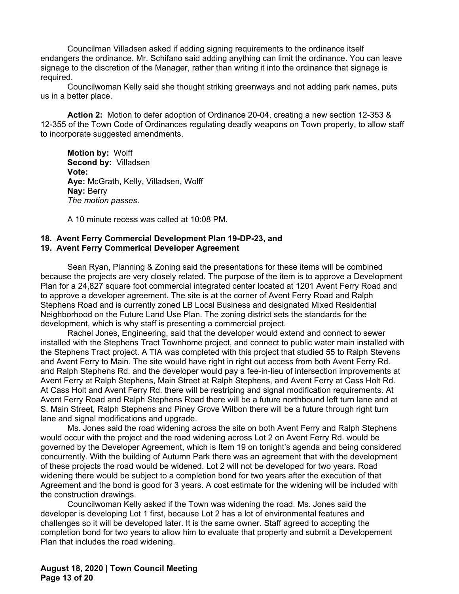Councilman Villadsen asked if adding signing requirements to the ordinance itself endangers the ordinance. Mr. Schifano said adding anything can limit the ordinance. You can leave signage to the discretion of the Manager, rather than writing it into the ordinance that signage is required.

Councilwoman Kelly said she thought striking greenways and not adding park names, puts us in a better place.

 **Action 2:** Motion to defer adoption of Ordinance 20-04, creating a new section 12-353 & 12-355 of the Town Code of Ordinances regulating deadly weapons on Town property, to allow staff to incorporate suggested amendments.

**Motion by:** Wolff **Second by:** Villadsen **Vote: Aye:** McGrath, Kelly, Villadsen, Wolff **Nay:** Berry *The motion passes*.

A 10 minute recess was called at 10:08 PM.

#### **18. Avent Ferry Commercial Development Plan 19-DP-23, and 19. Avent Ferry Commerical Developer Agreement**

Sean Ryan, Planning & Zoning said the presentations for these items will be combined because the projects are very closely related. The purpose of the item is to approve a Development Plan for a 24,827 square foot commercial integrated center located at 1201 Avent Ferry Road and to approve a developer agreement. The site is at the corner of Avent Ferry Road and Ralph Stephens Road and is currently zoned LB Local Business and designated Mixed Residential Neighborhood on the Future Land Use Plan. The zoning district sets the standards for the development, which is why staff is presenting a commercial project.

 Rachel Jones, Engineering, said that the developer would extend and connect to sewer installed with the Stephens Tract Townhome project, and connect to public water main installed with the Stephens Tract project. A TIA was completed with this project that studied 55 to Ralph Stevens and Avent Ferry to Main. The site would have right in right out access from both Avent Ferry Rd. and Ralph Stephens Rd. and the developer would pay a fee-in-lieu of intersection improvements at Avent Ferry at Ralph Stephens, Main Street at Ralph Stephens, and Avent Ferry at Cass Holt Rd. At Cass Holt and Avent Ferry Rd. there will be restriping and signal modification requirements. At Avent Ferry Road and Ralph Stephens Road there will be a future northbound left turn lane and at S. Main Street, Ralph Stephens and Piney Grove Wilbon there will be a future through right turn lane and signal modifications and upgrade.

 Ms. Jones said the road widening across the site on both Avent Ferry and Ralph Stephens would occur with the project and the road widening across Lot 2 on Avent Ferry Rd. would be governed by the Developer Agreement, which is Item 19 on tonight's agenda and being considered concurrently. With the building of Autumn Park there was an agreement that with the development of these projects the road would be widened. Lot 2 will not be developed for two years. Road widening there would be subject to a completion bond for two years after the execution of that Agreement and the bond is good for 3 years. A cost estimate for the widening will be included with the construction drawings.

Councilwoman Kelly asked if the Town was widening the road. Ms. Jones said the developer is developing Lot 1 first, because Lot 2 has a lot of environmental features and challenges so it will be developed later. It is the same owner. Staff agreed to accepting the completion bond for two years to allow him to evaluate that property and submit a Developement Plan that includes the road widening.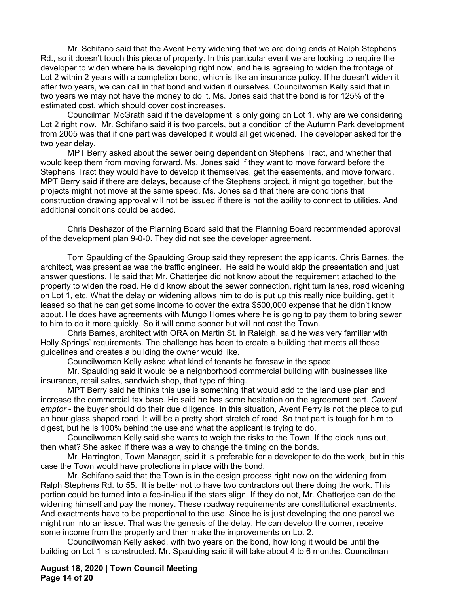Mr. Schifano said that the Avent Ferry widening that we are doing ends at Ralph Stephens Rd., so it doesn't touch this piece of property. In this particular event we are looking to require the developer to widen where he is developing right now, and he is agreeing to widen the frontage of Lot 2 within 2 years with a completion bond, which is like an insurance policy. If he doesn't widen it after two years, we can call in that bond and widen it ourselves. Councilwoman Kelly said that in two years we may not have the money to do it. Ms. Jones said that the bond is for 125% of the estimated cost, which should cover cost increases.

Councilman McGrath said if the development is only going on Lot 1, why are we considering Lot 2 right now. Mr. Schifano said it is two parcels, but a condition of the Autumn Park development from 2005 was that if one part was developed it would all get widened. The developer asked for the two year delay.

MPT Berry asked about the sewer being dependent on Stephens Tract, and whether that would keep them from moving forward. Ms. Jones said if they want to move forward before the Stephens Tract they would have to develop it themselves, get the easements, and move forward. MPT Berry said if there are delays, because of the Stephens project, it might go together, but the projects might not move at the same speed. Ms. Jones said that there are conditions that construction drawing approval will not be issued if there is not the ability to connect to utilities. And additional conditions could be added.

 Chris Deshazor of the Planning Board said that the Planning Board recommended approval of the development plan 9-0-0. They did not see the developer agreement.

 Tom Spaulding of the Spaulding Group said they represent the applicants. Chris Barnes, the architect, was present as was the traffic engineer. He said he would skip the presentation and just answer questions. He said that Mr. Chatterjee did not know about the requirement attached to the property to widen the road. He did know about the sewer connection, right turn lanes, road widening on Lot 1, etc. What the delay on widening allows him to do is put up this really nice building, get it leased so that he can get some income to cover the extra \$500,000 expense that he didn't know about. He does have agreements with Mungo Homes where he is going to pay them to bring sewer to him to do it more quickly. So it will come sooner but will not cost the Town.

 Chris Barnes, architect with ORA on Martin St. in Raleigh, said he was very familiar with Holly Springs' requirements. The challenge has been to create a building that meets all those guidelines and creates a building the owner would like.

Councilwoman Kelly asked what kind of tenants he foresaw in the space.

 Mr. Spaulding said it would be a neighborhood commercial building with businesses like insurance, retail sales, sandwich shop, that type of thing.

 MPT Berry said he thinks this use is something that would add to the land use plan and increase the commercial tax base. He said he has some hesitation on the agreement part. *Caveat emptor* - the buyer should do their due diligence. In this situation, Avent Ferry is not the place to put an hour glass shaped road. It will be a pretty short stretch of road. So that part is tough for him to digest, but he is 100% behind the use and what the applicant is trying to do.

 Councilwoman Kelly said she wants to weigh the risks to the Town. If the clock runs out, then what? She asked if there was a way to change the timing on the bonds.

 Mr. Harrington, Town Manager, said it is preferable for a developer to do the work, but in this case the Town would have protections in place with the bond.

 Mr. Schifano said that the Town is in the design process right now on the widening from Ralph Stephens Rd. to 55. It is better not to have two contractors out there doing the work. This portion could be turned into a fee-in-lieu if the stars align. If they do not, Mr. Chatterjee can do the widening himself and pay the money. These roadway requirements are constitutional exactments. And exactments have to be proportional to the use. Since he is just developing the one parcel we might run into an issue. That was the genesis of the delay. He can develop the corner, receive some income from the property and then make the improvements on Lot 2.

 Councilwoman Kelly asked, with two years on the bond, how long it would be until the building on Lot 1 is constructed. Mr. Spaulding said it will take about 4 to 6 months. Councilman

# **August 18, 2020 | Town Council Meeting Page 14 of 20**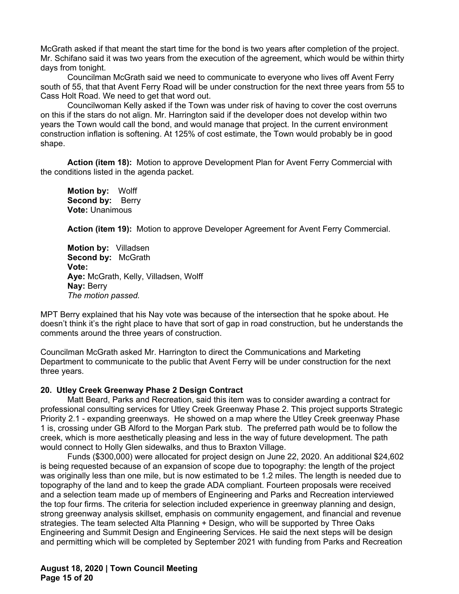McGrath asked if that meant the start time for the bond is two years after completion of the project. Mr. Schifano said it was two years from the execution of the agreement, which would be within thirty days from tonight.

 Councilman McGrath said we need to communicate to everyone who lives off Avent Ferry south of 55, that that Avent Ferry Road will be under construction for the next three years from 55 to Cass Holt Road. We need to get that word out.

 Councilwoman Kelly asked if the Town was under risk of having to cover the cost overruns on this if the stars do not align. Mr. Harrington said if the developer does not develop within two years the Town would call the bond, and would manage that project. In the current environment construction inflation is softening. At 125% of cost estimate, the Town would probably be in good shape.

 **Action (item 18):** Motion to approve Development Plan for Avent Ferry Commercial with the conditions listed in the agenda packet.

**Motion by:** Wolff **Second by: Berry Vote:** Unanimous

 **Action (item 19):** Motion to approve Developer Agreement for Avent Ferry Commercial.

**Motion by:** Villadsen **Second by:** McGrath **Vote: Aye:** McGrath, Kelly, Villadsen, Wolff **Nay:** Berry *The motion passed.* 

MPT Berry explained that his Nay vote was because of the intersection that he spoke about. He doesn't think it's the right place to have that sort of gap in road construction, but he understands the comments around the three years of construction.

Councilman McGrath asked Mr. Harrington to direct the Communications and Marketing Department to communicate to the public that Avent Ferry will be under construction for the next three years.

# **20. Utley Creek Greenway Phase 2 Design Contract**

Matt Beard, Parks and Recreation, said this item was to consider awarding a contract for professional consulting services for Utley Creek Greenway Phase 2. This project supports Strategic Priority 2.1 - expanding greenways. He showed on a map where the Utley Creek greenway Phase 1 is, crossing under GB Alford to the Morgan Park stub. The preferred path would be to follow the creek, which is more aesthetically pleasing and less in the way of future development. The path would connect to Holly Glen sidewalks, and thus to Braxton Village.

 Funds (\$300,000) were allocated for project design on June 22, 2020. An additional \$24,602 is being requested because of an expansion of scope due to topography: the length of the project was originally less than one mile, but is now estimated to be 1.2 miles. The length is needed due to topography of the land and to keep the grade ADA compliant. Fourteen proposals were received and a selection team made up of members of Engineering and Parks and Recreation interviewed the top four firms. The criteria for selection included experience in greenway planning and design, strong greenway analysis skillset, emphasis on community engagement, and financial and revenue strategies. The team selected Alta Planning + Design, who will be supported by Three Oaks Engineering and Summit Design and Engineering Services. He said the next steps will be design and permitting which will be completed by September 2021 with funding from Parks and Recreation

**August 18, 2020 | Town Council Meeting Page 15 of 20**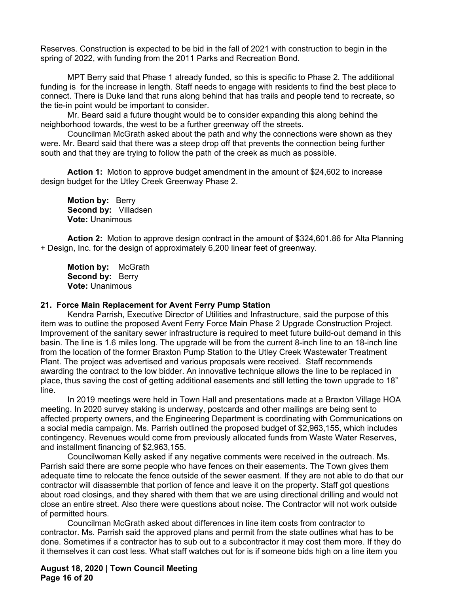Reserves. Construction is expected to be bid in the fall of 2021 with construction to begin in the spring of 2022, with funding from the 2011 Parks and Recreation Bond.

MPT Berry said that Phase 1 already funded, so this is specific to Phase 2. The additional funding is for the increase in length. Staff needs to engage with residents to find the best place to connect. There is Duke land that runs along behind that has trails and people tend to recreate, so the tie-in point would be important to consider.

Mr. Beard said a future thought would be to consider expanding this along behind the neighborhood towards, the west to be a further greenway off the streets.

Councilman McGrath asked about the path and why the connections were shown as they were. Mr. Beard said that there was a steep drop off that prevents the connection being further south and that they are trying to follow the path of the creek as much as possible.

 **Action 1:** Motion to approve budget amendment in the amount of \$24,602 to increase design budget for the Utley Creek Greenway Phase 2.

**Motion by:** Berry **Second by:** Villadsen **Vote:** Unanimous

 **Action 2:** Motion to approve design contract in the amount of \$324,601.86 for Alta Planning + Design, Inc. for the design of approximately 6,200 linear feet of greenway.

**Motion by:** McGrath Second by: Berry **Vote:** Unanimous

#### **21. Force Main Replacement for Avent Ferry Pump Station**

Kendra Parrish, Executive Director of Utilities and Infrastructure, said the purpose of this item was to outline the proposed Avent Ferry Force Main Phase 2 Upgrade Construction Project. Improvement of the sanitary sewer infrastructure is required to meet future build-out demand in this basin. The line is 1.6 miles long. The upgrade will be from the current 8-inch line to an 18-inch line from the location of the former Braxton Pump Station to the Utley Creek Wastewater Treatment Plant. The project was advertised and various proposals were received. Staff recommends awarding the contract to the low bidder. An innovative technique allows the line to be replaced in place, thus saving the cost of getting additional easements and still letting the town upgrade to 18" line.

 In 2019 meetings were held in Town Hall and presentations made at a Braxton Village HOA meeting. In 2020 survey staking is underway, postcards and other mailings are being sent to affected property owners, and the Engineering Department is coordinating with Communications on a social media campaign. Ms. Parrish outlined the proposed budget of \$2,963,155, which includes contingency. Revenues would come from previously allocated funds from Waste Water Reserves, and installment financing of \$2,963,155.

Councilwoman Kelly asked if any negative comments were received in the outreach. Ms. Parrish said there are some people who have fences on their easements. The Town gives them adequate time to relocate the fence outside of the sewer easment. If they are not able to do that our contractor will disassemble that portion of fence and leave it on the property. Staff got questions about road closings, and they shared with them that we are using directional drilling and would not close an entire street. Also there were questions about noise. The Contractor will not work outside of permitted hours.

Councilman McGrath asked about differences in line item costs from contractor to contractor. Ms. Parrish said the approved plans and permit from the state outlines what has to be done. Sometimes if a contractor has to sub out to a subcontractor it may cost them more. If they do it themselves it can cost less. What staff watches out for is if someone bids high on a line item you

**August 18, 2020 | Town Council Meeting Page 16 of 20**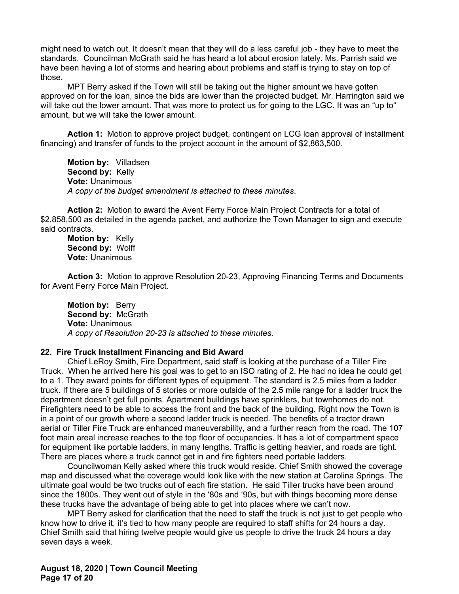might need to watch out. It doesn't mean that they will do a less careful job - they have to meet the standards. Councilman McGrath said he has heard a lot about erosion lately. Ms. Parrish said we have been having a lot of storms and hearing about problems and staff is trying to stay on top of those.

MPT Berry asked if the Town will still be taking out the higher amount we have gotten approved on for the loan, since the bids are lower than the projected budget. Mr. Harrington said we will take out the lower amount. That was more to protect us for going to the LGC. It was an "up to" amount, but we will take the lower amount.

**Action 1:** Motion to approve project budget, contingent on LCG loan approval of installment financing) and transfer of funds to the project account in the amount of \$2,863,500.

**Motion by:** Villadsen **Second by:** Kelly **Vote:** Unanimous *A copy of the budget amendment is attached to these minutes*.

 **Action 2:** Motion to award the Avent Ferry Force Main Project Contracts for a total of \$2,858,500 as detailed in the agenda packet, and authorize the Town Manager to sign and execute said contracts.

**Motion by:** Kelly **Second by:** Wolff **Vote:** Unanimous

 **Action 3:** Motion to approve Resolution 20-23, Approving Financing Terms and Documents for Avent Ferry Force Main Project.

**Motion by:** Berry **Second by:** McGrath **Vote:** Unanimous *A copy of Resolution 20-23 is attached to these minutes.* 

#### **22. Fire Truck Installment Financing and Bid Award**

Chief LeRoy Smith, Fire Department, said staff is looking at the purchase of a Tiller Fire Truck. When he arrived here his goal was to get to an ISO rating of 2. He had no idea he could get to a 1. They award points for different types of equipment. The standard is 2.5 miles from a ladder truck. If there are 5 buildings of 5 stories or more outside of the 2.5 mile range for a ladder truck the department doesn't get full points. Apartment buildings have sprinklers, but townhomes do not. Firefighters need to be able to access the front and the back of the building. Right now the Town is in a point of our growth where a second ladder truck is needed. The benefits of a tractor drawn aerial or Tiller Fire Truck are enhanced maneuverability, and a further reach from the road. The 107 foot main areal increase reaches to the top floor of occupancies. It has a lot of compartment space for equipment like portable ladders, in many lengths. Traffic is getting heavier, and roads are tight. There are places where a truck cannot get in and fire fighters need portable ladders.

Councilwoman Kelly asked where this truck would reside. Chief Smith showed the coverage map and discussed what the coverage would look like with the new station at Carolina Springs. The ultimate goal would be two trucks out of each fire station. He said Tiller trucks have been around since the 1800s. They went out of style in the '80s and '90s, but with things becoming more dense these trucks have the advantage of being able to get into places where we can't now.

MPT Berry asked for clarification that the need to staff the truck is not just to get people who know how to drive it, it's tied to how many people are required to staff shifts for 24 hours a day. Chief Smith said that hiring twelve people would give us people to drive the truck 24 hours a day seven days a week.

**August 18, 2020 | Town Council Meeting Page 17 of 20**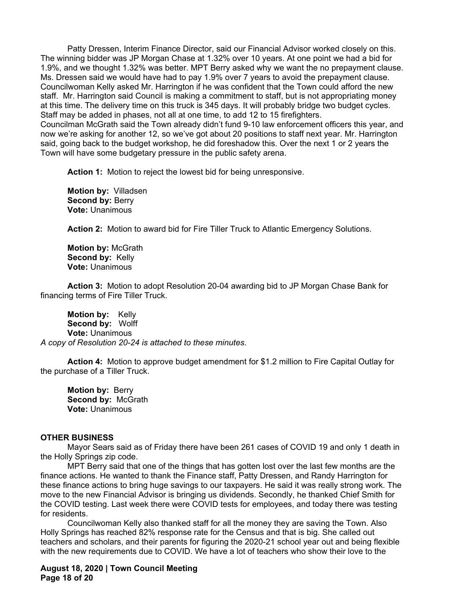Patty Dressen, Interim Finance Director, said our Financial Advisor worked closely on this. The winning bidder was JP Morgan Chase at 1.32% over 10 years. At one point we had a bid for 1.9%, and we thought 1.32% was better. MPT Berry asked why we want the no prepayment clause. Ms. Dressen said we would have had to pay 1.9% over 7 years to avoid the prepayment clause. Councilwoman Kelly asked Mr. Harrington if he was confident that the Town could afford the new staff. Mr. Harrington said Council is making a commitment to staff, but is not appropriating money at this time. The delivery time on this truck is 345 days. It will probably bridge two budget cycles. Staff may be added in phases, not all at one time, to add 12 to 15 firefighters. Councilman McGrath said the Town already didn't fund 9-10 law enforcement officers this year, and now we're asking for another 12, so we've got about 20 positions to staff next year. Mr. Harrington said, going back to the budget workshop, he did foreshadow this. Over the next 1 or 2 years the Town will have some budgetary pressure in the public safety arena.

**Action 1:** Motion to reject the lowest bid for being unresponsive.

**Motion by:** Villadsen **Second by:** Berry **Vote:** Unanimous

 **Action 2:** Motion to award bid for Fire Tiller Truck to Atlantic Emergency Solutions.

**Motion by:** McGrath **Second by:** Kelly **Vote:** Unanimous

 **Action 3:** Motion to adopt Resolution 20-04 awarding bid to JP Morgan Chase Bank for financing terms of Fire Tiller Truck.

**Motion by:** Kelly **Second by:** Wolff **Vote:** Unanimous *A copy of Resolution 20-24 is attached to these minutes.*

 **Action 4:** Motion to approve budget amendment for \$1.2 million to Fire Capital Outlay for the purchase of a Tiller Truck.

**Motion by:** Berry **Second by:** McGrath **Vote:** Unanimous

# **OTHER BUSINESS**

 Mayor Sears said as of Friday there have been 261 cases of COVID 19 and only 1 death in the Holly Springs zip code.

 MPT Berry said that one of the things that has gotten lost over the last few months are the finance actions. He wanted to thank the Finance staff, Patty Dressen, and Randy Harrington for these finance actions to bring huge savings to our taxpayers. He said it was really strong work. The move to the new Financial Advisor is bringing us dividends. Secondly, he thanked Chief Smith for the COVID testing. Last week there were COVID tests for employees, and today there was testing for residents.

 Councilwoman Kelly also thanked staff for all the money they are saving the Town. Also Holly Springs has reached 82% response rate for the Census and that is big. She called out teachers and scholars, and their parents for figuring the 2020-21 school year out and being flexible with the new requirements due to COVID. We have a lot of teachers who show their love to the

**August 18, 2020 | Town Council Meeting Page 18 of 20**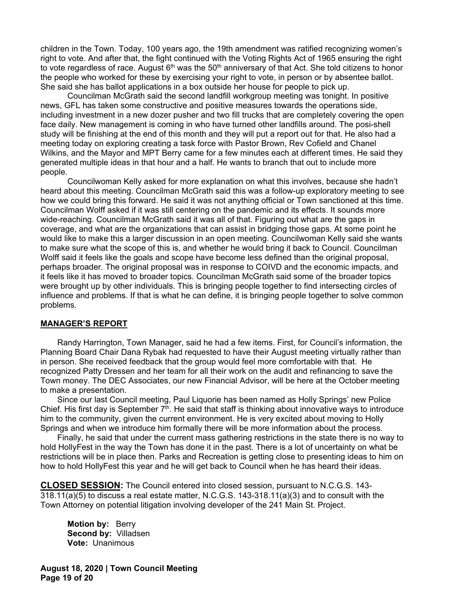children in the Town. Today, 100 years ago, the 19th amendment was ratified recognizing women's right to vote. And after that, the fight continued with the Voting Rights Act of 1965 ensuring the right to vote regardless of race. August  $6<sup>th</sup>$  was the  $50<sup>th</sup>$  anniversary of that Act. She told citizens to honor the people who worked for these by exercising your right to vote, in person or by absentee ballot. She said she has ballot applications in a box outside her house for people to pick up.

 Councilman McGrath said the second landfill workgroup meeting was tonight. In positive news, GFL has taken some constructive and positive measures towards the operations side, including investment in a new dozer pusher and two fill trucks that are completely covering the open face daily. New management is coming in who have turned other landfills around. The posi-shell study will be finishing at the end of this month and they will put a report out for that. He also had a meeting today on exploring creating a task force with Pastor Brown, Rev Cofield and Chanel Wilkins, and the Mayor and MPT Berry came for a few minutes each at different times. He said they generated multiple ideas in that hour and a half. He wants to branch that out to include more people.

Councilwoman Kelly asked for more explanation on what this involves, because she hadn't heard about this meeting. Councilman McGrath said this was a follow-up exploratory meeting to see how we could bring this forward. He said it was not anything official or Town sanctioned at this time. Councilman Wolff asked if it was still centering on the pandemic and its effects. It sounds more wide-reaching. Councilman McGrath said it was all of that. Figuring out what are the gaps in coverage, and what are the organizations that can assist in bridging those gaps. At some point he would like to make this a larger discussion in an open meeting. Councilwoman Kelly said she wants to make sure what the scope of this is, and whether he would bring it back to Council. Councilman Wolff said it feels like the goals and scope have become less defined than the original proposal, perhaps broader. The original proposal was in response to COIVD and the economic impacts, and it feels like it has moved to broader topics. Councilman McGrath said some of the broader topics were brought up by other individuals. This is bringing people together to find intersecting circles of influence and problems. If that is what he can define, it is bringing people together to solve common problems.

# **MANAGER'S REPORT**

Randy Harrington, Town Manager, said he had a few items. First, for Council's information, the Planning Board Chair Dana Rybak had requested to have their August meeting virtually rather than in person. She received feedback that the group would feel more comfortable with that. He recognized Patty Dressen and her team for all their work on the audit and refinancing to save the Town money. The DEC Associates, our new Financial Advisor, will be here at the October meeting to make a presentation.

Since our last Council meeting, Paul Liquorie has been named as Holly Springs' new Police Chief. His first day is September  $7<sup>th</sup>$ . He said that staff is thinking about innovative ways to introduce him to the community, given the current environment. He is very excited about moving to Holly Springs and when we introduce him formally there will be more information about the process.

Finally, he said that under the current mass gathering restrictions in the state there is no way to hold HollyFest in the way the Town has done it in the past. There is a lot of uncertainty on what be restrictions will be in place then. Parks and Recreation is getting close to presenting ideas to him on how to hold HollyFest this year and he will get back to Council when he has heard their ideas.

**CLOSED SESSION:** The Council entered into closed session, pursuant to N.C.G.S. 143- 318.11(a)(5) to discuss a real estate matter, N.C.G.S. 143-318.11(a)(3) and to consult with the Town Attorney on potential litigation involving developer of the 241 Main St. Project.

**Motion by: Berry Second by:** Villadsen **Vote:** Unanimous

**August 18, 2020 | Town Council Meeting Page 19 of 20**